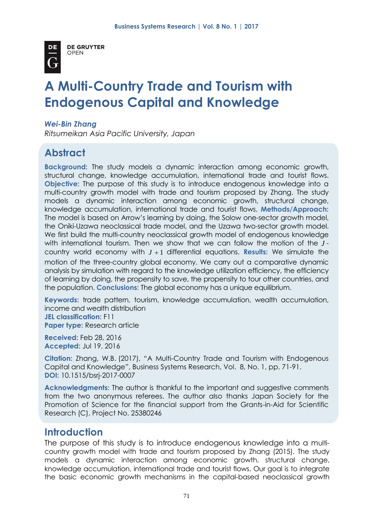

**DE GRUYTER OPEN** 

# **A Multi-Country Trade and Tourism with Endogenous Capital and Knowledge**

### *Wei-Bin Zhang*

*Ritsumeikan Asia Pacific University, Japan*

# **Abstract**

**Background:** The study models a dynamic interaction among economic growth, structural change, knowledge accumulation, international trade and tourist flows. **Objective:** The purpose of this study is to introduce endogenous knowledge into a multi-country growth model with trade and tourism proposed by Zhang. The study models a dynamic interaction among economic growth, structural change, knowledge accumulation, international trade and tourist flows. **Methods/Approach:** The model is based on Arrow's learning by doing, the Solow one-sector growth model, the Oniki-Uzawa neoclassical trade model, and the Uzawa two-sector growth model. We first build the multi-country neoclassical growth model of endogenous knowledge with international tourism. Then we show that we can follow the motion of the *J* country world economy with *J* 1 differential equations. **Results:** We simulate the motion of the three-country global economy. We carry out a comparative dynamic analysis by simulation with regard to the knowledge utilization efficiency, the efficiency of learning by doing, the propensity to save, the propensity to tour other countries, and the population. **Conclusions:** The global economy has a unique equilibrium.

**Keywords:** trade pattern, tourism, knowledge accumulation, wealth accumulation, income and wealth distribution **JEL classification:** F11

**Paper type:** Research article

**Received:** Feb 28, 2016 **Accepted:** Jul 19, 2016

**Citation:** Zhang, W.B. (2017), "A Multi-Country Trade and Tourism with Endogenous Capital and Knowledge", Business Systems Research, Vol. 8, No. 1, pp. 71-91. **DOI:** 10.1515/bsrj-2017-0007

**Acknowledgments:** The author is thankful to the important and suggestive comments from the two anonymous referees. The author also thanks Japan Society for the Promotion of Science for the financial support from the Grants-in-Aid for Scientific Research (C), Project No. 25380246

# **Introduction**

The purpose of this study is to introduce endogenous knowledge into a multicountry growth model with trade and tourism proposed by Zhang (2015). The study models a dynamic interaction among economic growth, structural change, knowledge accumulation, international trade and tourist flows. Our goal is to integrate the basic economic growth mechanisms in the capital-based neoclassical growth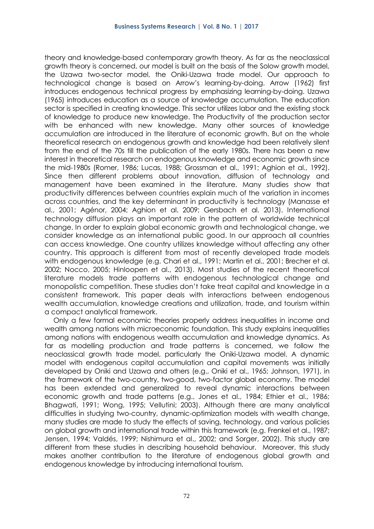theory and knowledge-based contemporary growth theory. As far as the neoclassical growth theory is concerned, our model is built on the basis of the Solow growth model, the Uzawa two-sector model, the Oniki-Uzawa trade model. Our approach to technological change is based on Arrow's learning-by-doing. Arrow (1962) first introduces endogenous technical progress by emphasizing learning-by-doing. Uzawa (1965) introduces education as a source of knowledge accumulation. The education sector is specified in creating knowledge. This sector utilizes labor and the existing stock of knowledge to produce new knowledge. The Productivity of the production sector with be enhanced with new knowledge. Many other sources of knowledge accumulation are introduced in the literature of economic growth. But on the whole theoretical research on endogenous growth and knowledge had been relatively silent from the end of the 70s till the publication of the early 1980s. There has been a new interest in theoretical research on endogenous knowledge and economic growth since the mid-1980s (Romer, 1986; Lucas, 1988; Grossman et al., 1991; Aghion et al., 1992). Since then different problems about innovation, diffusion of technology and management have been examined in the literature. Many studies show that productivity differences between countries explain much of the variation in incomes across countries, and the key determinant in productivity is technology (Manasse et al., 2001; Agénor, 2004; Aghion et al. 2009; Gersbach et al. 2013). International technology diffusion plays an important role in the pattern of worldwide technical change. In order to explain global economic growth and technological change, we consider knowledge as an international public good. In our approach all countries can access knowledge. One country utilizes knowledge without affecting any other country. This approach is different from most of recently developed trade models with endogenous knowledge (e.g. Chari et al., 1991; Martin et al., 2001; Brecher et al. 2002; Nocco, 2005; Hinloopen et al., 2013). Most studies of the recent theoretical literature models trade patterns with endogenous technological change and monopolistic competition. These studies don't take treat capital and knowledge in a consistent framework. This paper deals with interactions between endogenous wealth accumulation, knowledge creations and utilization, trade, and tourism within a compact analytical framework.

Only a few formal economic theories properly address inequalities in income and wealth among nations with microeconomic foundation. This study explains inequalities among nations with endogenous wealth accumulation and knowledge dynamics. As far as modelling production and trade patterns is concerned, we follow the neoclassical growth trade model, particularly the Oniki-Uzawa model. A dynamic model with endogenous capital accumulation and capital movements was initially developed by Oniki and Uzawa and others (e.g., Oniki et al., 1965; Johnson, 1971), in the framework of the two-country, two-good, two-factor global economy. The model has been extended and generalized to reveal dynamic interactions between economic growth and trade patterns (e.g., Jones et al., 1984; Ethier et al., 1986; Bhagwati, 1991; Wong, 1995; Vellutini; 2003). Although there are many analytical difficulties in studying two-country, dynamic-optimization models with wealth change, many studies are made to study the effects of saving, technology, and various policies on global growth and international trade within this framework (e.g. Frenkel et al., 1987; Jensen, 1994; Valdés, 1999; Nishimura et al., 2002; and Sorger, 2002). This study are different from these studies in describing household behaviour. Moreover, this study makes another contribution to the literature of endogenous global growth and endogenous knowledge by introducing international tourism.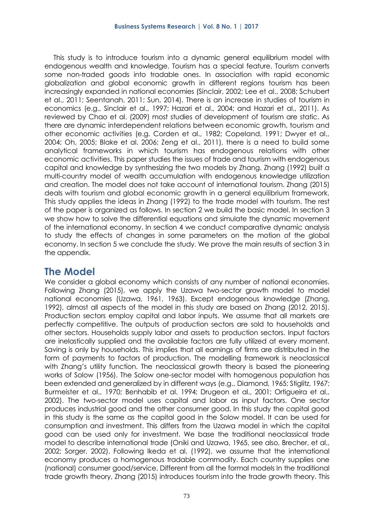This study is to introduce tourism into a dynamic general equilibrium model with endogenous wealth and knowledge. Tourism has a special feature. Tourism converts some non-traded goods into tradable ones. In association with rapid economic globalization and global economic growth in different regions tourism has been increasingly expanded in national economies (Sinclair, 2002; Lee et al., 2008; Schubert et al., 2011; Seentanah, 2011; Sun, 2014). There is an increase in studies of tourism in economics (e.g., Sinclair et al., 1997; Hazari et al., 2004; and Hazari et al., 2011). As reviewed by Chao et al. (2009) most studies of development of tourism are static. As there are dynamic interdependent relations between economic growth, tourism and other economic activities (e.g. Corden et al., 1982; Copeland, 1991; Dwyer et al., 2004; Oh, 2005; Blake et al. 2006; Zeng et al., 2011), there is a need to build some analytical frameworks in which tourism has endogenous relations with other economic activities. This paper studies the issues of trade and tourism with endogenous capital and knowledge by synthesizing the two models by Zhang. Zhang (1992) built a multi-country model of wealth accumulation with endogenous knowledge utilization and creation. The model does not take account of international tourism. Zhang (2015) deals with tourism and global economic growth in a general equilibrium framework. This study applies the ideas in Zhang (1992) to the trade model with tourism. The rest of the paper is organized as follows. In section 2 we build the basic model. In section 3 we show how to solve the differential equations and simulate the dynamic movement of the international economy. In section 4 we conduct comparative dynamic analysis to study the effects of changes in some parameters on the motion of the global economy. In section 5 we conclude the study. We prove the main results of section 3 in the appendix.

# **The Model**

We consider a global economy which consists of any number of national economies. Following Zhang (2015), we apply the Uzawa two-sector growth model to model national economies (Uzawa, 1961, 1963). Except endogenous knowledge (Zhang, 1992), almost all aspects of the model in this study are based on Zhang (2012, 2015). Production sectors employ capital and labor inputs. We assume that all markets are perfectly competitive. The outputs of production sectors are sold to households and other sectors. Households supply labor and assets to production sectors. Input factors are inelastically supplied and the available factors are fully utilized at every moment. Saving is only by households. This implies that all earnings of firms are distributed in the form of payments to factors of production. The modelling framework is neoclassical with Zhang's utility function. The neoclassical growth theory is based the pioneering works of Solow (1956). The Solow one-sector model with homogenous population has been extended and generalized by in different ways (e.g., Diamond, 1965; Stiglitz, 1967; Burmeister et al., 1970; Benhabib et al. 1994; Drugeon et al., 2001; Ortigueira et al., 2002). The two-sector model uses capital and labor as input factors. One sector produces industrial good and the other consumer good. In this study the capital good in this study is the same as the capital good in the Solow model. It can be used for consumption and investment. This differs from the Uzawa model in which the capital good can be used only for investment. We base the traditional neoclassical trade model to describe international trade (Oniki and Uzawa, 1965, see also, Brecher, et al., 2002; Sorger, 2002). Following Ikeda et al. (1992), we assume that the international economy produces a homogenous tradable commodity. Each country supplies one (national) consumer good/service. Different from all the formal models In the traditional trade growth theory, Zhang (2015) introduces tourism into the trade growth theory. This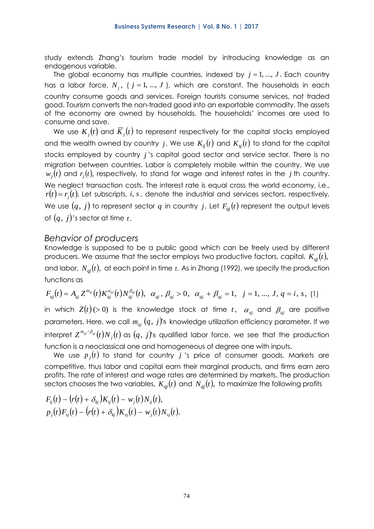study extends Zhang's tourism trade model by introducing knowledge as an endogenous variable.

The global economy has multiple countries, indexed by  $j = 1, ..., J$ . Each country has a labor force,  $N_{_j},$  (  $j$  = 1, ...,  $J$  ), which are constant. The households in each country consume goods and services. Foreign tourists consume services, not traded good. Tourism converts the non-traded good into an exportable commodity. The assets of the economy are owned by households. The households' incomes are used to consume and save.

We use  $K_j(t)$  and  $\overline{K}_j(t)$  to represent respectively for the capital stocks employed and the wealth owned by country  $j$ . We use  $K_{i j}(t)$  and  $K_{s j}(t)$  to stand for the capital stocks employed by country *j* 's capital good sector and service sector. There is no migration between countries. Labor is completely mobile within the country. We use  $w_j(t)$  and  $r_j(t)$ , respectively, to stand for wage and interest rates in the  $j$  th country. We neglect transaction costs. The interest rate is equal cross the world economy, i.e.,  $r(t)$ = $r_j(t)$ . Let subscripts, *i*, *s* , denote the industrial and services sectors, respectively. We use  $(q,\ j)$  to represent sector  $q$  in country  $j.$  Let  $F_{qj}(t)$  represent the output levels of  $(q,\,j)$ 's sector at time  $t.$ 

### *Behavior of producers*

Knowledge is supposed to be a public good which can be freely used by different producers. We assume that the sector employs two productive factors, capital,  $K_{qi}(t)$ , and labor,  $N_{qj}(t)$ , at each point in time  $\it t.$  As in Zhang (1992), we specify the production functions as

$$
F_{qj}(t) = A_{qj} Z^{m_{qj}}(t) K_{qj}^{\alpha_{qj}}(t) N_{qj}^{\beta_{qj}}(t), \quad \alpha_{qj}, \beta_{qj} > 0, \quad \alpha_{qj} + \beta_{qj} = 1, \quad j = 1, ..., J, q = i, s, (1)
$$

in which  $Z(t)$ (>0) is the knowledge stock at time  $t\,$ ,  $\alpha_{qj}$  and  $\beta_{qj}$  are positive parameters. Here, we call  $m_{\overline{q}j}\left(q,\ j\right)$ 's knowledge utilization efficiency parameter. If we interpret  $Z^{m_{qi}/\beta_{qi}}(t)N_{_j}(t)$  as  $(q,\,j)$ 's qualified labor force, we see that the production function is a neoclassical one and homogeneous of degree one with inputs.

We use  $p_j(t)$  to stand for country  $j$  's price of consumer goods. Markets are competitive, thus labor and capital earn their marginal products, and firms earn zero profits. The rate of interest and wage rates are determined by markets. The production sectors chooses the two variables,  $\emph{K}_{q j}(t)$  and  $\emph{N}_{q j}(t)$ , to maximize the following profits

$$
F_{ij}(t) - (r(t) + \delta_{kj})K_{ij}(t) - w_j(t)N_{ij}(t),
$$
  
\n
$$
p_j(t)F_{sj}(t) - (r(t) + \delta_{kj})K_{sj}(t) - w_j(t)N_{sj}(t).
$$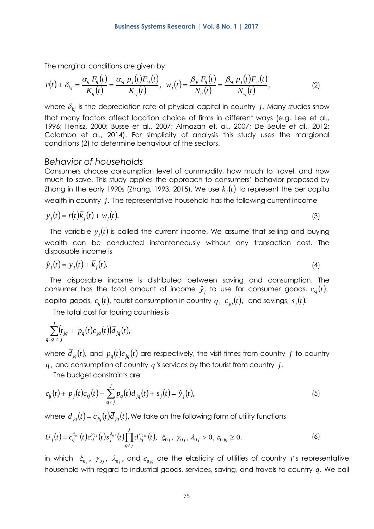The marginal conditions are given by

$$
r(t) + \delta_{kj} = \frac{\alpha_{ij} F_{ij}(t)}{K_{ij}(t)} = \frac{\alpha_{sj} p_j(t) F_{sj}(t)}{K_{sj}(t)}, \ \ w_j(t) = \frac{\beta_{ji} F_{ij}(t)}{N_{ij}(t)} = \frac{\beta_{sj} p_j(t) F_{sj}(t)}{N_{sj}(t)}, \tag{2}
$$

where  $\delta_{kj}$  is the depreciation rate of physical capital in country  $j.$  Many studies show that many factors affect location choice of firms in different ways (e.g. Lee et al., 1996; Henisz, 2000; Busse et al., 2007; Almazan et. al., 2007; De Beule et al., 2012; Colombo et al., 2014). For simplicity of analysis this study uses the margional conditions (2) to determine behaviour of the sectors.

### *Behavior of households*

Consumers choose consumption level of commodity, how much to travel, and how much to save. This study applies the approach to consumers' behavior proposed by Zhang in the early 1990s (Zhang, 1993, 2015). We use  $\bar{k}^{}_{j}(t)$  to represent the per capita wealth in country  $\,j.$  The representative household has the following current income

$$
y_j(t) = r(t)\overline{k}_j(t) + w_j(t). \tag{3}
$$

The variable  $y_j(t)$  is called the current income. We assume that selling and buying wealth can be conducted instantaneously without any transaction cost. The disposable income is

$$
\hat{\mathbf{y}}_j(t) = \mathbf{y}_j(t) + \bar{k}_j(t). \tag{4}
$$

The disposable income is distributed between saving and consumption. The consumer has the total amount of income  $\hat{y}_j$  to use for consumer goods,  $c_{\scriptscriptstyle{S}j}(t),$ capital goods,  $c_{ij}(t)$ , tourist consumption in country  $q\,$ ,  $\,c_{jq}(t)$ ,  $\,$  and savings,  $s_j(t)$ .

The total cost for touring countries is

$$
\sum_{q, q \neq j}^{J} (t_{jq} + p_q(t)c_{jq}(t))\overline{d}_{jq}(t),
$$

where  $\bar{d}_{jq}(t)$ , and  $p_q(t)c_{jq}(t)$  are respectively, the visit times from country  $j$  to country  $q$  , and consumption of country  $q$  's services by the tourist from country  $j$  .

The budget constraints are

$$
c_{ij}(t) + p_j(t)c_{sj}(t) + \sum_{q \neq j}^{J} p_q(t)d_{jq}(t) + s_j(t) = \hat{y}_j(t),
$$
\n(5)

where  $d_{jq}(t)\!=\!c_{jq}(t)\overline{d}_{jq}(t),$  We take on the following form of utility functions

$$
U_j(t) = c_{ij}^{\xi_{0j}}(t)c_{sj}^{\gamma_{0j}}(t)s_j^{\lambda_{0j}}(t)\prod_{q \neq j}^J d_{jq}^{\epsilon_{0jq}}(t), \ \xi_{0j}, \ \gamma_{0j}, \lambda_{0j} > 0, \ \epsilon_{0jq} \geq 0. \tag{6}
$$

in which  $\zeta_{0j}, \gamma_{0j}, \lambda_{0j},$  and  $\varepsilon_{0jq}$  are the elasticity of utilities of country  $j$ 's representative household with regard to industrial goods, services, saving, and travels to country *q*. We call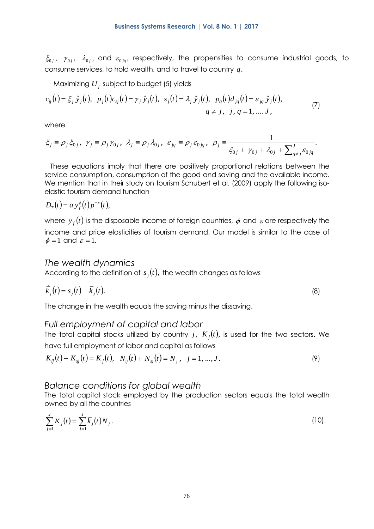$\xi_{0j}$ ,  $\gamma_{0j}$ ,  $\lambda_{0j}$ , and  $\varepsilon_{0jq}$ , respectively, the propensities to consume industrial goods, to consume services, to hold wealth, and to travel to country *q*.

Maximizing  $U_{_f}$  subject to budget (5) yields

$$
c_{ij}(t) = \xi_j \hat{y}_j(t), \ \ p_j(t)c_{sj}(t) = \gamma_j \hat{y}_j(t), \ \ s_j(t) = \lambda_j \hat{y}_j(t), \ \ p_q(t)d_{jq}(t) = \varepsilon_{jq} \hat{y}_j(t),
$$
  
 
$$
q \neq j, \ \ j, q = 1, .... J,
$$
 (7)

where

$$
\xi_j \equiv \rho_j \xi_{0j}, \ \gamma_j \equiv \rho_j \gamma_{0j}, \ \lambda_j \equiv \rho_j \lambda_{0j}, \ \varepsilon_{jq} \equiv \rho_j \varepsilon_{0jq}, \ \rho_j \equiv \frac{1}{\xi_{0j} + \gamma_{0j} + \lambda_{0j} + \sum_{q \neq j}^{J} \varepsilon_{0jq}}.
$$

These equations imply that there are positively proportional relations between the service consumption, consumption of the good and saving and the available income. We mention that in their study on tourism Schubert et al. (2009) apply the following isoelastic tourism demand function

$$
D_T(t) = a y_f^{\phi}(t) p^{-\varepsilon}(t),
$$

where  $\,{\mathit y}_{_{f}}(t)\,$  is the disposable income of foreign countries,  $\,\phi\,$  and  $\,\varepsilon$  are respectively the income and price elasticities of tourism demand. Our model is similar to the case of  $\phi = 1$  and  $\varepsilon = 1$ .

#### *The wealth dynamics*

According to the definition of  $s_j(t)$ , the wealth changes as follows

$$
\overline{k}_j(t) = s_j(t) - \overline{k}_j(t). \tag{8}
$$

The change in the wealth equals the saving minus the dissaving.

### *Full employment of capital and labor*

The total capital stocks utilized by country  $j,~K_j(t),$  is used for the two sectors. We have full employment of labor and capital as follows

$$
K_{ij}(t) + K_{sj}(t) = K_j(t), \quad N_{ij}(t) + N_{sj}(t) = N_j, \quad j = 1, ..., J.
$$
\n(9)

### *Balance conditions for global wealth*

The total capital stock employed by the production sectors equals the total wealth owned by all the countries

$$
\sum_{j=1}^{J} K_j(t) = \sum_{j=1}^{J} \bar{k}_j(t) N_j.
$$
 (10)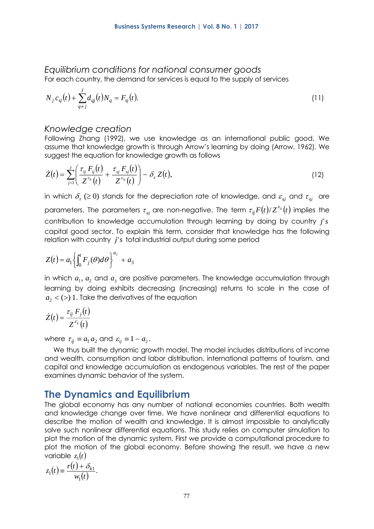#### *Equilibrium conditions for national consumer goods*  For each country, the demand for services is equal to the supply of services

$$
N_j c_{sj}(t) + \sum_{q \neq j}^{J} d_{qj}(t) N_q = F_{sj}(t). \tag{11}
$$

### *Knowledge creation*

Following Zhang (1992), we use knowledge as an international public good. We assume that knowledge growth is through Arrow's learning by doing (Arrow, 1962). We suggest the equation for knowledge growth as follows

$$
\dot{Z}(t) = \sum_{j=1}^{J} \left( \frac{\tau_{ij} F_{ij}(t)}{Z^{\varepsilon_{ij}}(t)} + \frac{\tau_{sj} F_{sj}(t)}{Z^{\varepsilon_{sj}}(t)} \right) - \delta_z Z(t), \qquad (12)
$$

in which  $\delta_{_z} \, (\geq 0)$  stands for the depreciation rate of knowledge, and  $\varepsilon_{_{qj}}$  and  $\tau_{_{qj}}$  are parameters. The parameters  $\tau_{\scriptscriptstyle qj}$  are non-negative. The term  $\tau_{\scriptscriptstyle i j} F(t)/Z^{\scriptscriptstyle \mathcal{E}_j}(t)$  $\tau_{ii} F(t)/Z^{\varepsilon_{ij}}(t)$  implies the contribution to knowledge accumulation through learning by doing by country *j*'*<sup>s</sup>* capital good sector. To explain this term, consider that knowledge has the following relation with country *j*'*s* total industrial output during some period

$$
Z(t) = a_1 \left\{ \int_0^t F_j(\theta) d\theta \right\}^{a_2} + a_3
$$

in which  $a_1,\,a_2$  and  $a_3$  are positive parameters. The knowledge accumulation through learning by doing exhibits decreasing (increasing) returns to scale in the case of  $a_{\scriptscriptstyle 2}$  < (>) 1 . Take the derivatives of the equation

$$
\dot{Z}(t) = \frac{\tau_{ij} F_j(t)}{Z^{\varepsilon_{ij}}(t)}
$$

where  $\tau_{ij} \equiv a_1 a_2$  and  $\varepsilon_{ij} \equiv 1 - a_2$ .

We thus built the dynamic growth model. The model includes distributions of income and wealth, consumption and labor distribution, international patterns of tourism, and capital and knowledge accumulation as endogenous variables. The rest of the paper examines dynamic behavior of the system.

# **The Dynamics and Equilibrium**

The global economy has any number of national economies countries. Both wealth and knowledge change over time. We have nonlinear and differential equations to describe the motion of wealth and knowledge. It is almost impossible to analytically solve such nonlinear differential equations. This study relies on computer simulation to plot the motion of the dynamic system. First we provide a computational procedure to plot the motion of the global economy. Before showing the result, we have a new variable  $z_1(t)$ 

$$
z_1(t) \equiv \frac{r(t) + \delta_{k1}}{w_1(t)}.
$$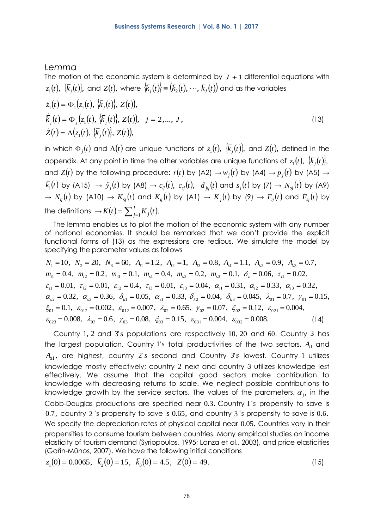### *Lemma*

The motion of the economic system is determined by  $J+1$  differential equations with  $\{z_1(t),\ \{\overline{k}_j(t)\},$  and  $Z(t),$  where  $\{\overline{k}_j(t)\}$   $\equiv$   $\big(\overline{k}_2(t),$   $\cdots$  ,  $\overline{k}_J(t)\big)$  and as the variables

$$
\dot{z}_1(t) = \Phi_1(z_1(t), \{\overline{k}_j(t)\}, Z(t)), \n\dot{\overline{k}}_j(t) = \Phi_j(z_1(t), \{\overline{k}_j(t)\}, Z(t)), \quad j = 2, ..., J, \n\dot{Z}(t) = \Lambda(z_1(t), \{\overline{k}_j(t)\}, Z(t)),
$$
\n(13)

in which  $\Phi_j(t)$  and  $\Lambda(t)$  are unique functions of  $z_1(t),\,\,\{\overline{k}_j(t)\},$  and  $Z(t),$  defined in the appendix. At any point in time the other variables are unique functions of  $z_1(t), \,\,\overleftarrow{k}_j(t)\},$ and  $Z(t)$  by the following procedure:  $r(t)$  by (A2)  $\rightarrow w_j(t)$  by (A4)  $\rightarrow p_j(t)$  by (A5)  $\rightarrow$  $\bar{k_{1}}(t)$  by (A15)  $\;\rightarrow$   $\hat{y}_{j}(t)$  by (A8)  $\rightarrow$   $c_{ij}(t),\;$   $c_{sj}(t),\;$   $d_{jq}(t)$  and  $s_{j}(t)$  by (7)  $\rightarrow$   $N_{sj}(t)$  by (A9)  $\rightarrow$   $N_{ij}(t)$  by (A10)  $\rightarrow$   $K_{sj}(t)$  and  $K_{ij}(t)$  by (A1)  $\rightarrow$   $K_{j}(t)$  by (9)  $\rightarrow$   $F_{ij}(t)$  and  $F_{sj}(t)$  by the definitions  $\rightarrow$   $K(t)$  =  $\sum_{j=1}^{J} K_j(t)$ .  $K(t) = \sum_{j=1}^{k} K_j(t)$ 

The lemma enables us to plot the motion of the economic system with any number of national economies. It should be remarked that we don't provide the explicit functional forms of (13) as the expressions are tedious. We simulate the model by specifying the parameter values as follows

$$
N_1 = 10, N_2 = 20, N_3 = 60, A_{i1} = 1.2, A_{i2} = 1, A_{i3} = 0.8, A_{s1} = 1.1, A_{s2} = 0.9, A_{s3} = 0.7, \nm_{i1} = 0.4, m_{i2} = 0.2, m_{i3} = 0.1, m_{s1} = 0.4, m_{s2} = 0.2, m_{s3} = 0.1, \delta_z = 0.06, \tau_{i1} = 0.02, \varepsilon_{i1} = 0.01, \tau_{i2} = 0.01, \varepsilon_{i2} = 0.4, \tau_{i3} = 0.01, \varepsilon_{i3} = 0.04, \alpha_{i1} = 0.31, \alpha_{i2} = 0.33, \alpha_{i3} = 0.32, \alpha_{s2} = 0.32, \alpha_{s3} = 0.36, \delta_{k1} = 0.05, \alpha_{s1} = 0.33, \delta_{k2} = 0.04, \delta_{k3} = 0.045, \lambda_{01} = 0.7, \gamma_{01} = 0.15, \n\xi_{01} = 0.1, \varepsilon_{012} = 0.002, \varepsilon_{012} = 0.007, \lambda_{02} = 0.65, \gamma_{02} = 0.07, \xi_{02} = 0.12, \varepsilon_{021} = 0.004, \n\varepsilon_{023} = 0.008, \lambda_{03} = 0.6, \gamma_{03} = 0.08, \xi_{03} = 0.15, \varepsilon_{031} = 0.004, \varepsilon_{032} = 0.008.
$$
\n(14)

Country 1, 2 and 3's populations are respectively 10, 20 and 60. Country 3 has the largest population. Country 1's total productivities of the two sectors,  $A_{i1}$  and A<sub>s1</sub>, are highest, country 2's second and Country 3's lowest. Country 1 utilizes knowledge mostly effectively; country 2 next and country 3 utilizes knowledge lest effectively. We assume that the capital good sectors make contribution to knowledge with decreasing returns to scale. We neglect possible contributions to knowledge growth by the service sectors. The values of the parameters,  $\alpha_{_j},$  in the Cobb-Douglas productions are specified near 0.3. Country 1 's propensity to save is 0.7, country 2 's propensity to save is 0.65, and country 3 's propensity to save is 0.6. We specify the depreciation rates of physical capital near 0.05. Countries vary in their propensities to consume tourism between countries. Many empirical studies on income elasticity of tourism demand (Syriopoulos, 1995; Lanza et al., 2003), and price elasticities (Gaŕin-Mũnos, 2007). We have the following initial conditions

$$
z_1(0) = 0.0065
$$
,  $\bar{k}_2(0) = 15$ ,  $\bar{k}_3(0) = 4.5$ ,  $Z(0) = 49$ . (15)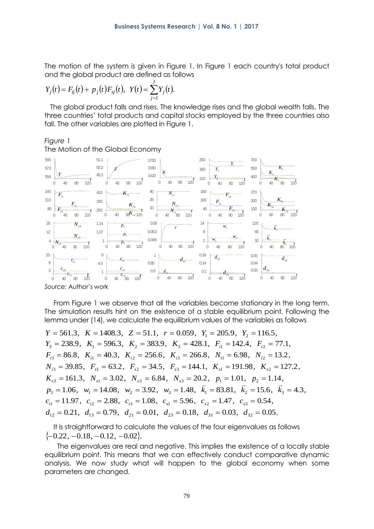The motion of the system is given in Figure 1. In Figure 1 each country's total product and the global product are defined as follows

$$
Y_j(t) = F_{ij}(t) + p_j(t)F_{sj}(t), \ \ Y(t) = \sum_{j=1}^J Y_j(t).
$$

The global product falls and rises. The knowledge rises and the global wealth falls. The three countries' total products and capital stocks employed by the three countries also fall. The other variables are plotted in Figure 1.

#### *Figure 1*

The Motion of the Global Economy



From Figure 1 we observe that all the variables become stationary in the long term. The simulation results hint on the existence of a stable equilibrium point. Following the lemma under (14), we calculate the equilibrium values of the variables as follows

 $Y = 561.3$ ,  $K = 1408.3$ ,  $Z = 51.1$ ,  $r = 0.059$ ,  $Y_1 = 205.9$ ,  $Y_2 = 116.5$ ,  $Y_3 = 238.9$ ,  $K_1 = 596.3$ ,  $K_2 = 383.9$ ,  $K_3 = 428.1$ ,  $F_{i1} = 142.4$ ,  $F_{i2} = 77.1$ ,  $K_{s3} = 161.3, N_{s1} = 3.02, N_{s2} = 6.84, N_{s3} = 20.2, p_1 = 1.01, p_2 = 1.14,$  $N_{i3} = 39.85$ ,  $F_{s1} = 63.2$ ,  $F_{s2} = 34.5$ ,  $F_{s3} = 144.1$ ,  $K_{s1} = 191.98$ ,  $K_{s2} = 127.2$ ,  $F_{i3} = 86.8$ ,  $K_{i1} = 40.3$ ,  $K_{i2} = 256.6$ ,  $K_{i3} = 266.8$ ,  $N_{i1} = 6.98$ ,  $N_{i2} = 13.2$ ,  $p_3 = 1.06$ ,  $w_1 = 14.08$ ,  $w_2 = 3.92$ ,  $w_3 = 1.48$ ,  $\bar{k}_1 = 83.81$ ,  $\bar{k}_2 = 15.6$ ,  $\bar{k}_3 = 4.3$ ,  $c_{i1} = 11.97$ ,  $c_{i2} = 2.88$ ,  $c_{i3} = 1.08$ ,  $c_{s1} = 5.96$ ,  $c_{s2} = 1.47$ ,  $c_{s3} = 0.54$ ,  $d_{12} = 0.21$ ,  $d_{13} = 0.79$ ,  $d_{21} = 0.01$ ,  $d_{23} = 0.18$ ,  $d_{31} = 0.03$ ,  $d_{32} = 0.05$ .

It is straightforward to calculate the values of the four eigenvalues as follows  $\{-0.22, -0.18, -0.12, -0.02\}.$ 

The eigenvalues are real and negative. This implies the existence of a locally stable equilibrium point. This means that we can effectively conduct comparative dynamic analysis. We now study what will happen to the global economy when some parameters are changed.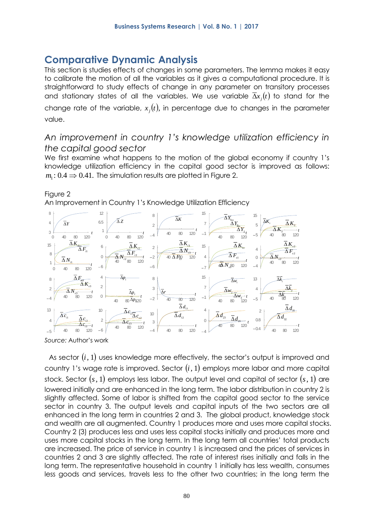# **Comparative Dynamic Analysis**

This section is studies effects of changes in some parameters. The lemma makes it easy to calibrate the motion of all the variables as it gives a computational procedure. It is straightforward to study effects of change in any parameter on transitory processes and stationary states of all the variables. We use variable  $\Delta x_j(t)$  to stand for the change rate of the variable,  $x_j(t)$ , in percentage due to changes in the parameter value.

### *An improvement in country 1's knowledge utilization efficiency in the capital good sector*

We first examine what happens to the motion of the global economy if country 1's knowledge utilization efficiency in the capital good sector is improved as follows:  $m_{\!\scriptscriptstyle 1}\!: 0.4 \Rightarrow 0.41.$  The simulation results are plotted in Figure 2.

### Figure 2

An Improvement in Country 1's Knowledge Utilization Efficiency



*Source:* Author's work

As sector  $(i, 1)$  uses knowledge more effectively, the sector's output is improved and country 1's wage rate is improved. Sector  $(i,1)$  employs more labor and more capital stock. Sector  $(s,1)$  employs less labor. The output level and capital of sector  $(s,1)$  are lowered initially and are enhanced in the long term. The labor distribution in country 2 is slightly affected. Some of labor is shifted from the capital good sector to the service sector in country 3. The output levels and capital inputs of the two sectors are all enhanced in the long term in countries 2 and 3. The global product, knowledge stock and wealth are all augmented. Country 1 produces more and uses more capital stocks. Country 2 (3) produces less and uses less capital stocks initially and produces more and uses more capital stocks in the long term. In the long term all countries' total products are increased. The price of service in country 1 is increased and the prices of services in countries 2 and 3 are slightly affected. The rate of interest rises initially and falls in the long term. The representative household in country 1 initially has less wealth, consumes less goods and services, travels less to the other two countries; in the long term the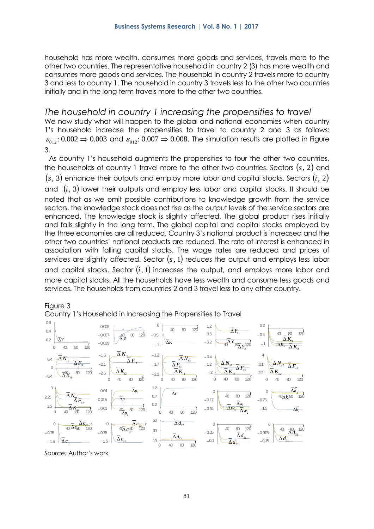household has more wealth, consumes more goods and services, travels more to the other two countries. The representative household in country 2 (3) has more wealth and consumes more goods and services. The household in country 2 travels more to country 3 and less to country 1. The household in country 3 travels less to the other two countries initially and in the long term travels more to the other two countries.

### *The household in country 1 increasing the propensities to travel*

We now study what will happen to the global and national economies when country 1's household increase the propensities to travel to country 2 and 3 as follows:  $\varepsilon_{012}$ :  $0.002$   $\Rightarrow$   $0.003$  and  $\varepsilon_{012}$ :  $0.007$   $\Rightarrow$   $0.008$ . The simulation results are plotted in Figure 3.

As country 1's household augments the propensities to tour the other two countries, the households of country 1 travel more to the other two countries. Sectors  $(s,2)$  and  $\left( \text{s} , \text{3} \right)$  enhance their outputs and employ more labor and capital stocks. Sectors  $\left( \text{i} , \text{2} \right)$ and  $(i,3)$  lower their outputs and employ less labor and capital stocks. It should be noted that as we omit possible contributions to knowledge growth from the service sectors, the knowledge stock does not rise as the output levels of the service sectors are enhanced. The knowledge stock is slightly affected. The global product rises initially and falls slightly in the long term. The global capital and capital stocks employed by the three economies are all reduced. Country 3's national product is increased and the other two countries' national products are reduced. The rate of interest is enhanced in association with falling capital stocks. The wage rates are reduced and prices of services are slightly affected. Sector  $(s,1)$  reduces the output and employs less labor and capital stocks. Sector  $(i, 1)$  increases the output, and employs more labor and more capital stocks. All the households have less wealth and consume less goods and services. The households from countries 2 and 3 travel less to any other country.



Figure 3

*Source:* Author's work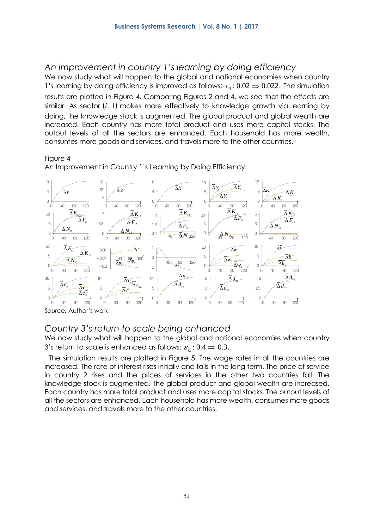### *An improvement in country 1's learning by doing efficiency*

We now study what will happen to the global and national economies when country 1's learning by doing efficiency is improved as follows:  $\tau_{i1}$ : 0.02  $\Rightarrow$  0.022. The simulation results are plotted in Figure 4. Comparing Figures 2 and 4, we see that the effects are similar. As sector  $\left( i,1\right)$  makes more effectively to knowledge growth via learning by doing, the knowledge stock is augmented. The global product and global wealth are increased. Each country has more total product and uses more capital stocks. The output levels of all the sectors are enhanced. Each household has more wealth, consumes more goods and services, and travels more to the other countries.

#### Figure 4

An Improvement in Country 1's Learning by Doing Efficiency



*Source:* Author's work

### *Country 3's return to scale being enhanced*

We now study what will happen to the global and national economies when country 3's return to scale is enhanced as follows:  $\varepsilon_{_{l3}}$ :  $0.4 \Rightarrow 0.3.$ 

The simulation results are plotted in Figure 5. The wage rates in all the countries are increased. The rate of interest rises initially and falls in the long term. The price of service in country 2 rises and the prices of services in the other two countries fall. The knowledge stock is augmented. The global product and global wealth are increased. Each country has more total product and uses more capital stocks. The output levels of all the sectors are enhanced. Each household has more wealth, consumes more goods and services, and travels more to the other countries.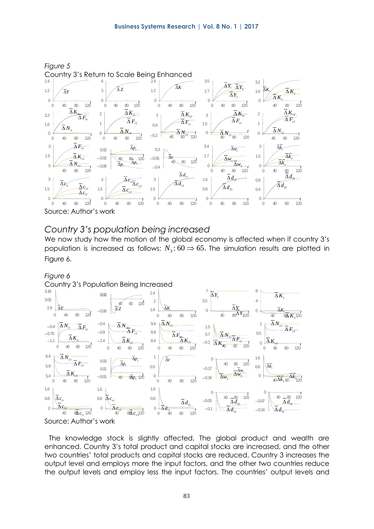

Source: Author's work

### *Country 3's population being increased*

We now study how the motion of the global economy is affected when if country 3's population is increased as follows:  $N_3:60 \Rightarrow 65.$  The simulation results are plotted in Figure 6.





The knowledge stock is slightly affected. The global product and wealth are enhanced. Country 3's total product and capital stocks are increased, and the other two countries' total products and capital stocks are reduced. Country 3 increases the output level and employs more the input factors, and the other two countries reduce the output levels and employ less the input factors. The countries' output levels and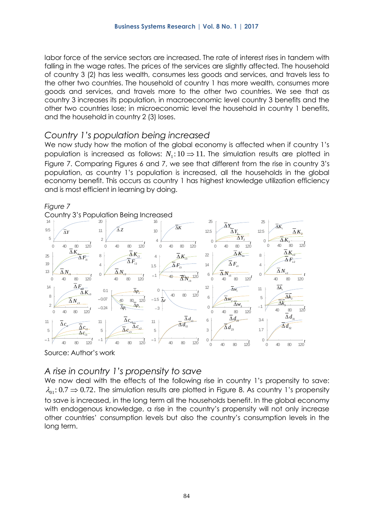labor force of the service sectors are increased. The rate of interest rises in tandem with falling in the wage rates. The prices of the services are slightly affected. The household of country 3 (2) has less wealth, consumes less goods and services, and travels less to the other two countries. The household of country 1 has more wealth, consumes more goods and services, and travels more to the other two countries. We see that as country 3 increases its population, in macroeconomic level country 3 benefits and the other two countries lose; in microeconomic level the household in country 1 benefits, and the household in country 2 (3) loses.

### *Country 1's population being increased*

We now study how the motion of the global economy is affected when if country 1's population is increased as follows:  $N_{\rm l}$ :10  $\Rightarrow$  11. The simulation results are plotted in Figure 7. Comparing Figures 6 and 7, we see that different from the rise in country 3's population, as country 1's population is increased, all the households in the global economy benefit. This occurs as country 1 has highest knowledge utilization efficiency and is most efficient in learning by doing.



Country 3's Population Being Increased



Source: Author's work

### *A rise in country 1's propensity to save*

We now deal with the effects of the following rise in country 1's propensity to save:  $\lambda_{01}\!\!:\,0.7$   $\Rightarrow$   $0.72.$  The simulation results are plotted in Figure 8. As country 1's propensity to save is increased, in the long term all the households benefit. In the global economy with endogenous knowledge, a rise in the country's propensity will not only increase other countries' consumption levels but also the country's consumption levels in the long term.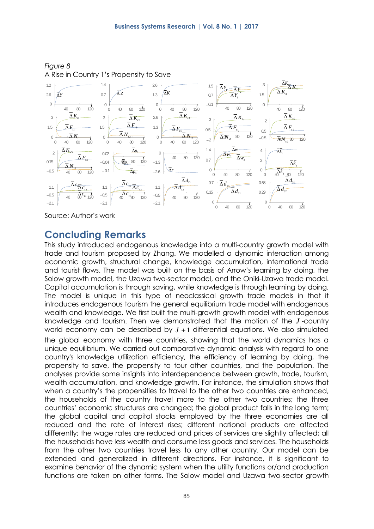

*Figure 8*  A Rise in Country 1's Propensity to Save

Source: Author's work

# **Concluding Remarks**

This study introduced endogenous knowledge into a multi-country growth model with trade and tourism proposed by Zhang. We modelled a dynamic interaction among economic growth, structural change, knowledge accumulation, international trade and tourist flows. The model was built on the basis of Arrow's learning by doing, the Solow growth model, the Uzawa two-sector model, and the Oniki-Uzawa trade model. Capital accumulation is through saving, while knowledge is through learning by doing. The model is unique in this type of neoclassical growth trade models in that it introduces endogenous tourism the general equilibrium trade model with endogenous wealth and knowledge. We first built the multi-growth growth model with endogenous knowledge and tourism. Then we demonstrated that the motion of the *J* -country world economy can be described by  $J+1$  differential equations. We also simulated the global economy with three countries, showing that the world dynamics has a unique equilibrium. We carried out comparative dynamic analysis with regard to one country's knowledge utilization efficiency, the efficiency of learning by doing, the propensity to save, the propensity to tour other countries, and the population. The analyses provide some insights into interdependence between growth, trade, tourism, wealth accumulation, and knowledge growth. For instance, the simulation shows that when a country's the propensities to travel to the other two countries are enhanced, the households of the country travel more to the other two countries; the three countries' economic structures are changed; the global product falls in the long term; the global capital and capital stocks employed by the three economies are all reduced and the rate of interest rises; different national products are affected differently; the wage rates are reduced and prices of services are slightly affected; all the households have less wealth and consume less goods and services. The households from the other two countries travel less to any other country. Our model can be extended and generalized in different directions. For instance, it is significant to examine behavior of the dynamic system when the utility functions or/and production functions are taken on other forms. The Solow model and Uzawa two-sector growth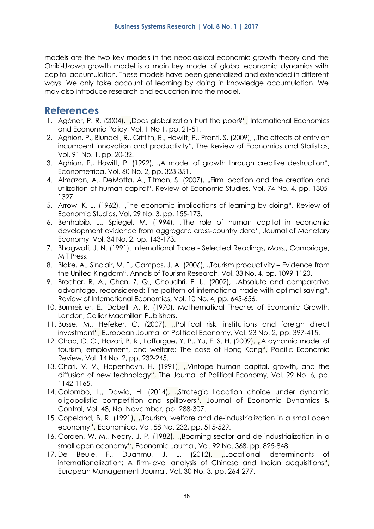models are the two key models in the neoclassical economic growth theory and the Oniki-Uzawa growth model is a main key model of global economic dynamics with capital accumulation. These models have been generalized and extended in different ways. We only take account of learning by doing in knowledge accumulation. We may also introduce research and education into the model.

# **References**

- 1. Agénor, P. R. (2004), "Does globalization hurt the poor?", International Economics and Economic Policy, Vol. 1 No 1, pp. 21-51.
- 2. Aghion, P., Blundell, R., Griffith, R., Howitt, P., Prantl, S. (2009), "The effects of entry on incumbent innovation and productivity", The Review of Economics and Statistics, Vol. 91 No. 1, pp. 20-32.
- 3. Aghion, P., Howitt, P. (1992), "A model of growth through creative destruction", Econometrica, Vol. 60 No. 2, pp. 323-351.
- 4. Almazan, A., DeMotta, A., Titman, S. (2007), "Firm location and the creation and utilization of human capital", Review of Economic Studies, Vol. 74 No. 4, pp. 1305- 1327.
- 5. Arrow, K. J. (1962), "The economic implications of learning by doing", Review of Economic Studies, Vol. 29 No. 3, pp. 155-173.
- 6. Benhabib, J., Spiegel, M. (1994), "The role of human capital in economic development evidence from aggregate cross-country data", Journal of Monetary Economy, Vol. 34 No. 2, pp. 143-173.
- 7. Bhagwati, J. N. (1991). International Trade Selected Readings, Mass., Cambridge, MIT Press.
- 8. Blake, A., Sinclair, M. T., Campos, J. A. (2006), "Tourism productivity Evidence from the United Kingdom", Annals of Tourism Research, Vol. 33 No. 4, pp. 1099-1120.
- 9. Brecher, R. A., Chen, Z. Q., Choudhri, E. U. (2002), "Absolute and comparative advantage, reconsidered: The pattern of international trade with optimal saving", Review of International Economics, Vol. 10 No. 4, pp. 645-656.
- 10. Burmeister, E., Dobell, A. R. (1970). Mathematical Theories of Economic Growth, London, Collier Macmillan Publishers.
- 11. Busse, M., Hefeker, C. (2007), "Political risk, institutions and foreign direct investment", European Journal of Political Economy, Vol. 23 No. 2, pp. 397-415.
- 12. Chao, C. C., Hazari, B. R., Laffargue, Y. P., Yu, E. S. H. (2009), "A dynamic model of tourism, employment, and welfare: The case of Hong Kong", Pacific Economic Review, Vol. 14 No. 2, pp. 232-245.
- 13. Chari, V. V., Hopenhayn, H. (1991), "Vintage human capital, growth, and the diffusion of new technology", The Journal of Political Economy, Vol. 99 No. 6, pp. 1142-1165.
- 14. Colombo, L., Dawid, H. (2014), "Strategic Location choice under dynamic oligopolistic competition and spillovers", Journal of Economic Dynamics & Control, Vol. 48, No. November, pp. 288-307.
- 15. Copeland, B. R. (1991), "Tourism, welfare and de-industrialization in a small open economy", Economica, Vol. 58 No. 232, pp. 515-529.
- 16. Corden, W. M., Neary, J. P. (1982), "Booming sector and de-industrialization in a small open economy", Economic Journal, Vol. 92 No. 368, pp. 825-848.
- 17. De Beule, F., Duanmu, J. L. (2012), "Locational determinants of internationalization: A firm-level analysis of Chinese and Indian acquisitions", European Management Journal, Vol. 30 No. 3, pp. 264-277.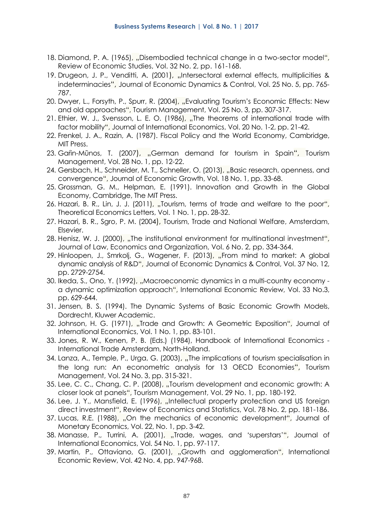- 18. Diamond, P. A. (1965), "Disembodied technical change in a two-sector model", Review of Economic Studies, Vol. 32 No. 2, pp. 161-168.
- 19. Drugeon, J. P., Venditti, A. (2001), "Intersectoral external effects, multiplicities & indeterminacies", Journal of Economic Dynamics & Control, Vol. 25 No. 5, pp. 765-787.
- 20. Dwyer, L., Forsyth, P., Spurr, R. (2004), "Evaluating Tourism's Economic Effects: New and old approaches", Tourism Management, Vol. 25 No. 3, pp. 307-317.
- 21. Ethier, W. J., Svensson, L. E. O. (1986), "The theorems of international trade with factor mobility", Journal of International Economics, Vol. 20 No. 1-2, pp. 21-42.
- 22. Frenkel, J. A., Razin, A. (1987). Fiscal Policy and the World Economy, Cambridge, MIT Press.
- 23. Garin-Mūnos, T. (2007), "German demand for tourism in Spain", Tourism Management, Vol. 28 No. 1, pp. 12-22.
- 24. Gersbach, H., Schneider, M. T., Schneller, O. (2013), "Basic research, openness, and convergence", Journal of Economic Growth, Vol. 18 No. 1, pp. 33-68.
- 25. Grossman, G. M., Helpman, E. (1991). Innovation and Growth in the Global Economy, Cambridge, The MIT Press.
- 26. Hazari, B. R., Lin, J. J. (2011), "Tourism, terms of trade and welfare to the poor", Theoretical Economics Letters, Vol. 1 No. 1, pp. 28-32.
- 27. Hazari, B. R., Sgro, P. M. (2004), Tourism, Trade and National Welfare, Amsterdam, Elsevier.
- 28. Henisz, W. J. (2000), "The institutional environment for multinational investment", [Journal of Law, Economics and Organization,](http://ideas.repec.org/s/oup/jleorg.html) Vol. 6 No. 2, pp. 334-364.
- 29. Hinloopen, J., Smrkolj, G., Wagener, F. (2013), "From mind to market: A global dynamic analysis of R&D", Journal of Economic Dynamics & Control, Vol. 37 No. 12, pp. 2729-2754.
- 30. Ikeda, S., Ono, Y. (1992), "Macroeconomic dynamics in a multi-country economy a dynamic optimization approach", International Economic Review, Vol. 33 No.3, pp. 629-644.
- 31. Jensen, B. S. (1994). The Dynamic Systems of Basic Economic Growth Models, Dordrecht, Kluwer Academic.
- 32. Johnson, H. G. (1971), "Trade and Growth: A Geometric Exposition", Journal of International Economics, Vol. 1 No. 1, pp. 83-101.
- 33. Jones, R. W., Kenen, P. B. (Eds.) (1984), Handbook of International Economics International Trade Amsterdam, North-Holland.
- 34. Lanza, A., Temple, P., Urga, G. (2003), "The implications of tourism specialisation in the long run: An econometric analysis for 13 OECD Economies", Tourism Management, Vol. 24 No. 3, pp. 315-321.
- 35. Lee, C. C., Chang, C. P. (2008), "Tourism development and economic growth: A closer look at panels", Tourism Management, Vol. 29 No. 1, pp. 180-192.
- 36. Lee, J. Y., Mansfield, E. (1996), "Intellectual property protection and US foreign direct investment", [Review of Economics and Statistics,](http://www.mitpressjournals.org/loi/rest) Vol. 78 No. 2, pp. 181-186.
- 37. Lucas, R.E. (1988), "On the mechanics of economic development", Journal of Monetary Economics, Vol. 22, No. 1, pp. 3-42.
- 38. Manasse, P., Turrini, A. (2001), "Trade, wages, and 'superstars'", Journal of International Economics, Vol. 54 No. 1, pp. 97-117.
- 39. Martin, P., Ottaviano, G. (2001), "Growth and agglomeration", International Economic Review, Vol. 42 No. 4, pp. 947-968.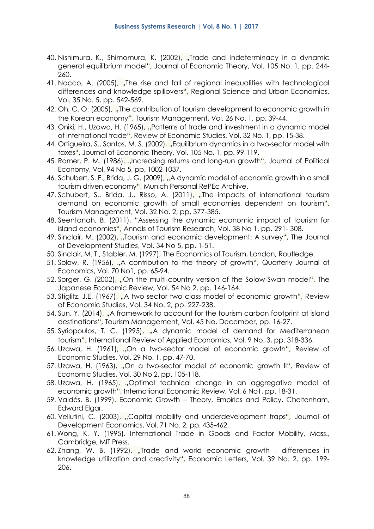- 40. Nishimura, K., Shimomura, K. (2002), "Trade and Indeterminacy in a dynamic general equilibrium model", Journal of Economic Theory, Vol. 105 No. 1, pp. 244- 260.
- 41. Nocco, A. (2005), "The rise and fall of regional inequalities with technological differences and knowledge spillovers", Regional Science and Urban Economics, Vol. 35 No. 5, pp. 542-569.
- 42. Oh, C. O. (2005), "The contribution of tourism development to economic growth in the Korean economy", Tourism Management, Vol. 26 No. 1, pp. 39-44.
- 43. Oniki, H., Uzawa, H. (1965), "Patterns of trade and investment in a dynamic model of international trade", Review of Economic Studies, Vol. 32 No. 1, pp. 15-38.
- 44. Ortigueira, S., Santos, M. S. (2002), "Equilibrium dynamics in a two-sector model with taxes", Journal of Economic Theory, Vol. 105 No. 1, pp. 99-119.
- 45. Romer, P. M. (1986), "Increasing returns and long-run growth", Journal of Political Economy, Vol. 94 No 5, pp. 1002-1037.
- 46. Schubert, S. F., Brida, J. G. (2009), "A dynamic model of economic growth in a small tourism driven economy", Munich Personal RePEc Archive.
- 47. Schubert, S., Brida, J., Risso, A. (2011), "The impacts of international tourism demand on economic growth of small economies dependent on tourism", Tourism Management, Vol. 32 No. 2, pp. 377-385.
- 48. Seentanah, B. (2011), "Assessing the dynamic economic impact of tourism for island economies", Annals of Tourism Research, Vol. 38 No 1, pp. 291- 308.
- 49. Sinclair, M. (2002), "Tourism and economic development: A survey", The Journal of Development Studies, Vol. 34 No 5, pp. 1-51.
- 50. Sinclair, M. T., Stabler, M. (1997), The Economics of Tourism, London, Routledge.
- 51. Solow, R. (1956), "A contribution to the theory of growth", Quarterly Journal of Economics, Vol. 70 No1, pp. 65-94.
- 52. Sorger, G. (2002), "On the multi-country version of the Solow-Swan model", The Japanese Economic Review, Vol. 54 No 2, pp. 146-164.
- 53. Stiglitz, J.E. (1967), "A two sector two class model of economic growth", Review of Economic Studies, Vol. 34 No. 2, pp. 227-238.
- 54. Sun, Y. (2014), "A framework to account for the tourism carbon footprint at island destinations", Tourism Management, Vol. 45 No. December, pp. 16-27.
- 55. Syriopoulos, T. C. (1995), "A dynamic model of demand for Mediterranean tourism", International Review of Applied Economics, Vol. 9 No. 3, pp. 318-336.
- 56. Uzawa, H. (1961), "On a two-sector model of economic growth", Review of Economic Studies, Vol. 29 No. 1, pp. 47-70.
- 57. Uzawa, H. (1963), "On a two-sector model of economic growth II", Review of Economic Studies, Vol. 30 No 2, pp. 105-118.
- 58. Uzawa, H. (1965), "Optimal technical change in an aggregative model of economic growth", International Economic Review, Vol. 6 No1, pp. 18-31.
- 59. Valdés, B. (1999). Economic Growth Theory, Empirics and Policy, Cheltenham, Edward Elgar.
- 60. Vellutini, C. (2003), "Capital mobility and underdevelopment traps", Journal of Development Economics, Vol. 71 No. 2, pp. 435-462.
- 61.Wong, K. Y. (1995). International Trade in Goods and Factor Mobility, Mass., Cambridge, MIT Press.
- 62. Zhang, W. B. (1992), "Trade and world economic growth differences in knowledge utilization and creativity", Economic Letters, Vol. 39 No. 2, pp. 199- 206.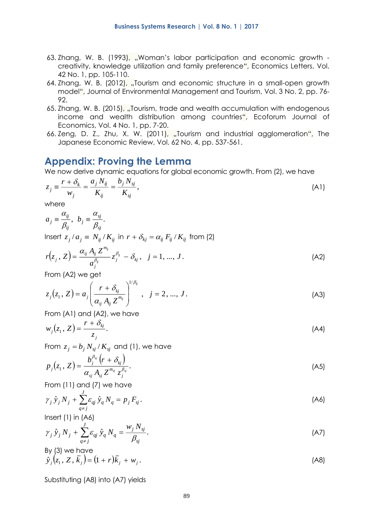- 63. Zhang, W. B. (1993), "Woman's labor participation and economic growth creativity, knowledge utilization and family preference", Economics Letters, Vol. 42 No. 1, pp. 105-110.
- 64. Zhang, W. B. (2012), "Tourism and economic structure in a small-open growth model", [Journal of Environmental Management and Tourism,](http://ideas.repec.org/s/srs/jemt12.html) Vol. 3 No. 2, pp. 76- 92.
- 65. Zhang, W. B. (2015), "Tourism, trade and wealth accumulation with endogenous income and wealth distribution among countries", Ecoforum Journal of Economics, Vol. 4 No. 1, pp. 7-20.
- 66. Zeng, D. Z., Zhu, X. W. (2011), "Tourism and industrial agglomeration", The Japanese Economic Review, Vol. 62 No. 4, pp. 537-561.

# **Appendix: Proving the Lemma**

We now derive dynamic equations for global economic growth. From (2), we have

$$
z_j \equiv \frac{r + \delta_k}{w_j} = \frac{a_j N_{ij}}{K_{ij}} = \frac{b_j N_{sj}}{K_{sj}},
$$
\n(A1)

where

$$
a_j \equiv \frac{\alpha_{ij}}{\beta_{ij}}, \ b_j \equiv \frac{\alpha_{sj}}{\beta_{sj}}.
$$

Insert  $z_j/a_j \equiv N_{ij}/K_{ij}$  in  $r + \delta_{kj} = \alpha_{ij}\,F_{ij}/K_{ij}$  from (2)

$$
r(z_j, Z) = \frac{\alpha_{ij} A_{ij} Z^{m_{ij}}}{a_j^{\beta_{ij}}} z_j^{\beta_{ij}} - \delta_{kj}, \quad j = 1, ..., J.
$$
 (A2)

From (A2) we get

$$
z_j(z_1, Z) = a_j \left( \frac{r + \delta_{kj}}{\alpha_{ij} A_{ij} Z^{m_{ij}}} \right)^{1/\beta_{ij}}, \quad j = 2, ..., J.
$$
 (A3)

From (A1) and (A2), we have

$$
w_j(z_1, Z) = \frac{r + \delta_{kj}}{z_j}.
$$
 (A4)

From  $z_j = b_j \, N_{\textit{sj}}$  /  $K_{\textit{sj}}$  and (1), we have

$$
p_j(z_1, Z) = \frac{b_j^{\beta_{sj}}(r + \delta_{kj})}{\alpha_{sj} A_{sj} Z^{m_{sj}} z_j^{\beta_{sj}}}.
$$
\n(A5)

From (11) and (7) we have

$$
\gamma_j \,\hat{y}_j \, N_j + \sum_{q \neq j}^{J} \varepsilon_{qj} \,\hat{y}_q \, N_q = p_j \, F_{sj} \,. \tag{A6}
$$

Insert (1) in (A6)

$$
\gamma_j \,\hat{y}_j \, N_j + \sum_{q \neq j}^{J} \varepsilon_{qj} \,\hat{y}_q \, N_q = \frac{w_j \, N_{sj}}{\beta_{sj}}.\tag{A7}
$$

By (3) we have  
\n
$$
\hat{y}_j(z_1, Z, \overline{k}_j) = (1+r)\overline{k}_j + w_j.
$$
\n(A8)

Substituting (A8) into (A7) yields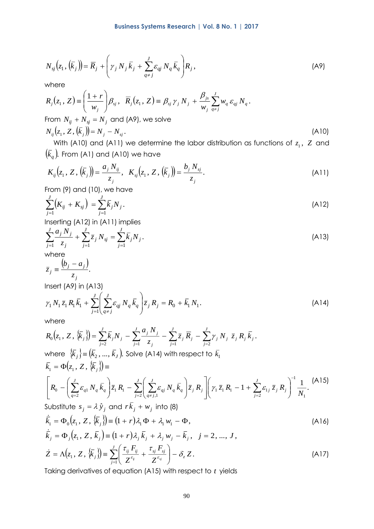$$
N_{sj}(z_1, (\overline{k}_j)) = \overline{R}_j + \left(\gamma_j N_j \overline{k}_j + \sum_{q \neq j}^{J} \varepsilon_{qj} N_q \overline{k}_q\right) R_j, \qquad (A9)
$$

where

$$
R_j(z_1, Z) = \left(\frac{1+r}{w_j}\right) \beta_{sj}, \quad \overline{R}_j(z_1, Z) = \beta_{sj} \gamma_j N_j + \frac{\beta_{js}}{w_j} \sum_{q \neq j}^{J} w_q \varepsilon_{qj} N_q.
$$
  
From  $N_{ij} + N_{sj} = N_j$  and (A9), we solve  

$$
N_{ij}(z_1, Z, (\overline{k}_j)) = N_j - N_{sj}.
$$
 (A10)

With (A10) and (A11) we determine the labor distribution as functions of  $z_1$ , Z and  $\left(\bar{k}_q\right)$ . From (A1) and (A10) we have

$$
K_{ij}(z_1, Z, (\bar{k}_j)) = \frac{a_j N_{ij}}{z_j}, \quad K_{sj}(z_1, Z, (\bar{k}_j)) = \frac{b_j N_{sj}}{z_j}.
$$
 (A11)

From (9) and (10), we have

$$
\sum_{j=1}^{J} (K_{ij} + K_{sj}) = \sum_{j=1}^{J} \bar{k}_j N_j.
$$
 (A12)

Inserting (A12) in (A11) implies

$$
\sum_{j=1}^{J} \frac{a_j N_j}{z_j} + \sum_{j=1}^{J} \bar{z}_j N_{sj} = \sum_{j=1}^{J} \bar{k}_j N_j.
$$
\n(A13)

where

$$
\bar{z}_j = \frac{(b_j - a_j)}{z_j}.
$$

Insert (A9) in (A13)

$$
\gamma_1 N_1 \bar{z}_1 R_1 \bar{k}_1 + \sum_{j=1}^J \left( \sum_{q \neq j}^J \varepsilon_{qj} N_q \bar{k}_q \right) \bar{z}_j R_j = R_0 + \bar{k}_1 N_1.
$$
\n(A14)

where

$$
N_{ij}(\bar{z}_1, (\bar{k}_j)) = \bar{R}_j + \left[ \gamma_j N_j \bar{k}_j + \sum_{q=1}^{\infty} \varepsilon_{ql} N_q \bar{k}_q \right] R_j, \qquad (A9)
$$
\nwhere  
\n
$$
R_j(z_i, Z) = \left( \frac{1+r}{w_j} \right) \beta_{ij}, \quad \bar{R}_j(z_i, Z) = \beta_{ij} \gamma_j N_j + \frac{\beta_{ji}}{w_j} \sum_{q=1}^{\infty} w_q \varepsilon_{ql} N_q.
$$
\nFrom  $N_{ij} + N_{ij} = N_j$  and (A9), we solve  
\n
$$
N_{ij}(\bar{z}_i, Z, (\bar{k}_j)) = N_j - N_{ij}.
$$
\nwith (A10) and (A11) we determine the labor distribution as functions of  $z_i$ , Z and  
\n
$$
(\bar{k}_q)
$$
 From (A1) and (A10) we have  
\n
$$
K_{ij}(z_i, Z, (\bar{k}_j)) = \frac{a_j N_{ij}}{z_j}, \quad K_{ij}(z_i, Z, (\bar{k}_j)) = \frac{b_j N_{ij}}{z_j}.
$$
\n(A11)  
\nFrom (9) and (10), we have  
\n
$$
\sum_{j=1}^{\infty} (K_{ij} + K_{ij}) = \sum_{j=1}^{\infty} \bar{k}_j N_j.
$$
\n(A12)  
\ninserting (A12) in (A11) implies  
\n
$$
\sum_{j=1}^{\infty} \frac{a_j N_{ij}}{z_j} + \sum_{j=1}^{\infty} \bar{z}_j N_{ij} = \sum_{j=1}^{\infty} \bar{k}_j N_j.
$$
\n(A13)  
\n
$$
\gamma_1 N_1 \bar{z}_i R_i \bar{k}_i + \sum_{j=1}^{\infty} \left( \sum_{q \neq j}^{\infty} c_{ql} N_q \bar{k}_q \right) \bar{z}_j R_j = R_0 + \bar{k}_1 N_1.
$$
\nwhere  
\n
$$
R_0(z_i, Z, (\bar{k}_j)) = \sum_{j=1}^{\infty} \bar{k}_j N_j - \sum_{j=1}^{\infty} \bar{z}_j \bar{R}_j - \sum_{j=1}^{\infty} \bar{z}_j N_j \bar{Z}_j R_j \bar{k}_j.
$$

Taking derivatives of equation (A15) with respect to *t* yields